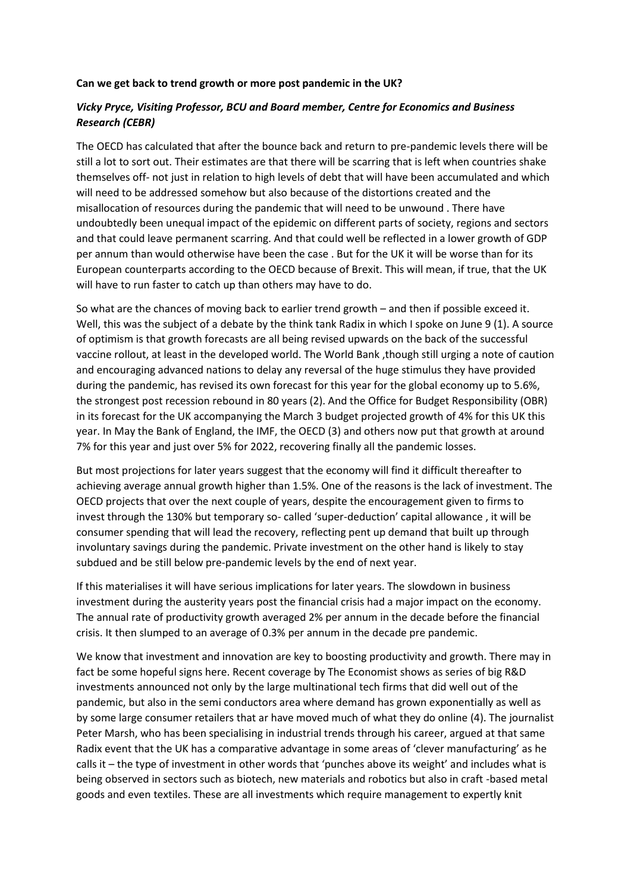## **Can we get back to trend growth or more post pandemic in the UK?**

## *Vicky Pryce, Visiting Professor, BCU and Board member, Centre for Economics and Business Research (CEBR)*

The OECD has calculated that after the bounce back and return to pre-pandemic levels there will be still a lot to sort out. Their estimates are that there will be scarring that is left when countries shake themselves off- not just in relation to high levels of debt that will have been accumulated and which will need to be addressed somehow but also because of the distortions created and the misallocation of resources during the pandemic that will need to be unwound . There have undoubtedly been unequal impact of the epidemic on different parts of society, regions and sectors and that could leave permanent scarring. And that could well be reflected in a lower growth of GDP per annum than would otherwise have been the case . But for the UK it will be worse than for its European counterparts according to the OECD because of Brexit. This will mean, if true, that the UK will have to run faster to catch up than others may have to do.

So what are the chances of moving back to earlier trend growth – and then if possible exceed it. Well, this was the subject of a debate by the think tank Radix in which I spoke on June 9 (1). A source of optimism is that growth forecasts are all being revised upwards on the back of the successful vaccine rollout, at least in the developed world. The World Bank ,though still urging a note of caution and encouraging advanced nations to delay any reversal of the huge stimulus they have provided during the pandemic, has revised its own forecast for this year for the global economy up to 5.6%, the strongest post recession rebound in 80 years (2). And the Office for Budget Responsibility (OBR) in its forecast for the UK accompanying the March 3 budget projected growth of 4% for this UK this year. In May the Bank of England, the IMF, the OECD (3) and others now put that growth at around 7% for this year and just over 5% for 2022, recovering finally all the pandemic losses.

But most projections for later years suggest that the economy will find it difficult thereafter to achieving average annual growth higher than 1.5%. One of the reasons is the lack of investment. The OECD projects that over the next couple of years, despite the encouragement given to firms to invest through the 130% but temporary so- called 'super-deduction' capital allowance , it will be consumer spending that will lead the recovery, reflecting pent up demand that built up through involuntary savings during the pandemic. Private investment on the other hand is likely to stay subdued and be still below pre-pandemic levels by the end of next year.

If this materialises it will have serious implications for later years. The slowdown in business investment during the austerity years post the financial crisis had a major impact on the economy. The annual rate of productivity growth averaged 2% per annum in the decade before the financial crisis. It then slumped to an average of 0.3% per annum in the decade pre pandemic.

We know that investment and innovation are key to boosting productivity and growth. There may in fact be some hopeful signs here. Recent coverage by The Economist shows as series of big R&D investments announced not only by the large multinational tech firms that did well out of the pandemic, but also in the semi conductors area where demand has grown exponentially as well as by some large consumer retailers that ar have moved much of what they do online (4). The journalist Peter Marsh, who has been specialising in industrial trends through his career, argued at that same Radix event that the UK has a comparative advantage in some areas of 'clever manufacturing' as he calls it – the type of investment in other words that 'punches above its weight' and includes what is being observed in sectors such as biotech, new materials and robotics but also in craft -based metal goods and even textiles. These are all investments which require management to expertly knit